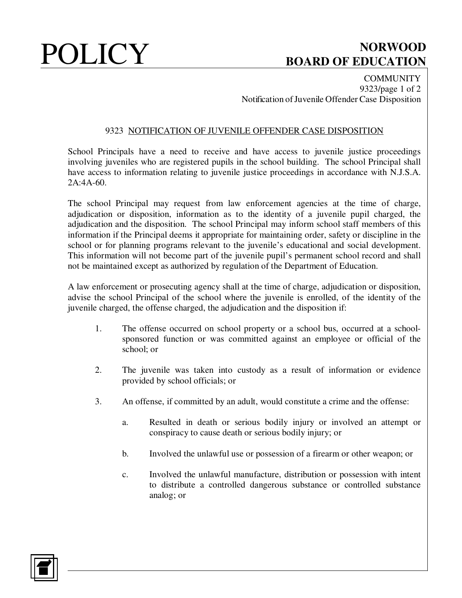# POLICY BOARD OF EDUCATION **BOARD OF EDUCATION**

**COMMUNITY** 9323/page 1 of 2 Notification of Juvenile Offender Case Disposition

### 9323 NOTIFICATION OF JUVENILE OFFENDER CASE DISPOSITION

School Principals have a need to receive and have access to juvenile justice proceedings involving juveniles who are registered pupils in the school building. The school Principal shall have access to information relating to juvenile justice proceedings in accordance with N.J.S.A.  $2A:4A-60.$ 

The school Principal may request from law enforcement agencies at the time of charge, adjudication or disposition, information as to the identity of a juvenile pupil charged, the adjudication and the disposition. The school Principal may inform school staff members of this information if the Principal deems it appropriate for maintaining order, safety or discipline in the school or for planning programs relevant to the juvenile's educational and social development. This information will not become part of the juvenile pupil's permanent school record and shall not be maintained except as authorized by regulation of the Department of Education.

A law enforcement or prosecuting agency shall at the time of charge, adjudication or disposition, advise the school Principal of the school where the juvenile is enrolled, of the identity of the juvenile charged, the offense charged, the adjudication and the disposition if:

- 1. The offense occurred on school property or a school bus, occurred at a schoolsponsored function or was committed against an employee or official of the school; or
- 2. The juvenile was taken into custody as a result of information or evidence provided by school officials; or
- 3. An offense, if committed by an adult, would constitute a crime and the offense:
	- a. Resulted in death or serious bodily injury or involved an attempt or conspiracy to cause death or serious bodily injury; or
	- b. Involved the unlawful use or possession of a firearm or other weapon; or
	- c. Involved the unlawful manufacture, distribution or possession with intent to distribute a controlled dangerous substance or controlled substance analog; or